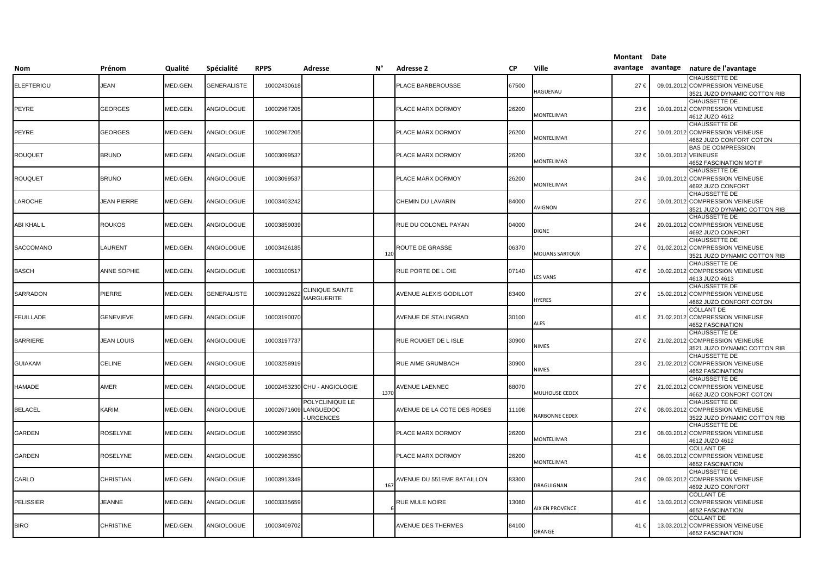|                   |                    |                 |                    |             |                                                 |      |                                   |           |                       | Montant Date      |            |                                                                                     |
|-------------------|--------------------|-----------------|--------------------|-------------|-------------------------------------------------|------|-----------------------------------|-----------|-----------------------|-------------------|------------|-------------------------------------------------------------------------------------|
| Nom               | Prénom             | Qualité         | Spécialité         | <b>RPPS</b> | Adresse                                         | N°   | <b>Adresse 2</b>                  | <b>CP</b> | Ville                 | avantage avantage |            | nature de l'avantage                                                                |
| <b>ELEFTERIOU</b> | JEAN               | MED.GEN.        | GENERALISTE        | 10002430618 |                                                 |      | PLACE BARBEROUSSE                 | 67500     | <b>IAGUENAU</b>       | 27€               | 09.01.2012 | <b>CHAUSSETTE DE</b><br>COMPRESSION VEINEUSE<br>3521 JUZO DYNAMIC COTTON RIB        |
| PEYRE             | <b>GEORGES</b>     | MED.GEN.        | <b>ANGIOLOGUE</b>  | 10002967205 |                                                 |      | PLACE MARX DORMOY                 | 26200     | <b>MONTELIMAR</b>     | 23€               |            | <b>CHAUSSETTE DE</b><br>10.01.2012 COMPRESSION VEINEUSE<br>4612 JUZO 4612           |
| PEYRE             | <b>GEORGES</b>     | MED.GEN.        | ANGIOLOGUE         | 10002967205 |                                                 |      | PLACE MARX DORMOY                 | 26200     | <b>MONTELIMAR</b>     | 27€               |            | CHAUSSETTE DE<br>10.01.2012 COMPRESSION VEINEUSE<br>4662 JUZO CONFORT COTON         |
| <b>ROUQUET</b>    | <b>BRUNO</b>       | MED.GEN.        | ANGIOLOGUE         | 10003099537 |                                                 |      | PLACE MARX DORMOY                 | 26200     | MONTELIMAR            | 32€               |            | <b>BAS DE COMPRESSION</b><br>10.01.2012 VEINEUSE<br><b>4652 FASCINATION MOTIF</b>   |
| ROUQUET           | <b>BRUNO</b>       | MED.GEN.        | ANGIOLOGUE         | 10003099537 |                                                 |      | PLACE MARX DORMOY                 | 26200     | <b>MONTELIMAR</b>     | 24€               |            | CHAUSSETTE DE<br>10.01.2012 COMPRESSION VEINEUSE<br>4692 JUZO CONFORT               |
| LAROCHE           | <b>JEAN PIERRE</b> | MED.GEN.        | ANGIOLOGUE         | 10003403242 |                                                 |      | CHEMIN DU LAVARIN                 | 84000     | <b>AVIGNON</b>        | 27€               |            | CHAUSSETTE DE<br>10.01.2012 COMPRESSION VEINEUSE<br>3521 JUZO DYNAMIC COTTON RIB    |
| ABI KHALIL        | <b>ROUKOS</b>      | MED.GEN         | ANGIOLOGUE         | 10003859039 |                                                 |      | RUE DU COLONEL PAYAN              | 04000     | DIGNE                 | 24 €              |            | <b>CHAUSSETTE DE</b><br>20.01.2012 COMPRESSION VEINEUSE<br>4692 JUZO CONFORT        |
| SACCOMANO         | LAURENT            | MED.GEN.        | ANGIOLOGUE         | 10003426185 |                                                 | 12(  | ROUTE DE GRASSE                   | 06370     | <b>MOUANS SARTOUX</b> | 27€               | 01.02.2012 | <b>CHAUSSETTE DE</b><br><b>COMPRESSION VEINEUSE</b><br>3521 JUZO DYNAMIC COTTON RIB |
| <b>BASCH</b>      | ANNE SOPHIE        | <b>MED.GEN.</b> | ANGIOLOGUE         | 10003100517 |                                                 |      | RUE PORTE DE LOIE                 | 07140     | <b>LES VANS</b>       | 47€               |            | CHAUSSETTE DE<br>10.02.2012 COMPRESSION VEINEUSE<br>4613 JUZO 4613                  |
| SARRADON          | PIERRE             | MED.GEN.        | <b>GENERALISTE</b> | 10003912622 | CLINIQUE SAINTE<br><b>MARGUERITE</b>            |      | AVENUE ALEXIS GODILLOT            | 83400     | <b>IYERES</b>         | 27€               |            | <b>CHAUSSETTE DE</b><br>15.02.2012 COMPRESSION VEINEUSE<br>4662 JUZO CONFORT COTON  |
| <b>FEUILLADE</b>  | <b>GENEVIEVE</b>   | MED.GEN.        | ANGIOLOGUE         | 10003190070 |                                                 |      | AVENUE DE STALINGRAD              | 30100     | ALES                  | 41€               |            | <b>COLLANT DE</b><br>21.02.2012 COMPRESSION VEINEUSE<br><b>4652 FASCINATION</b>     |
| <b>BARRIERE</b>   | <b>JEAN LOUIS</b>  | <b>MED.GEN.</b> | ANGIOLOGUE         | 10003197737 |                                                 |      | RUE ROUGET DE L ISLE              | 30900     | <b>NIMES</b>          | 27€               |            | CHAUSSETTE DE<br>21.02.2012 COMPRESSION VEINEUSE<br>3521 JUZO DYNAMIC COTTON RIB    |
| <b>GUIAKAM</b>    | <b>CELINE</b>      | MED.GEN.        | ANGIOLOGUE         | 10003258919 |                                                 |      | RUE AIME GRUMBACH                 | 30900     | <b>NIMES</b>          | 23€               |            | <b>CHAUSSETTE DE</b><br>21.02.2012 COMPRESSION VEINEUSE<br>4652 FASCINATION         |
| HAMADE            | AMER               | MED.GEN.        | ANGIOLOGUE         |             | 10002453230 CHU - ANGIOLOGIE                    | 1370 | <b>VENUE LAENNEC</b>              | 68070     | <b>MULHOUSE CEDEX</b> | 27€               | 21.02.2012 | <b>CHAUSSETTE DE</b><br><b>COMPRESSION VEINEUSE</b><br>4662 JUZO CONFORT COTON      |
| <b>BELACEL</b>    | KARIM              | MED.GEN.        | ANGIOLOGUE         | 10002671609 | POLYCLINIQUE LE<br>LANGUEDOC<br><b>URGENCES</b> |      | AVENUE DE LA COTE DES ROSES       | 11108     | <b>NARBONNE CEDEX</b> | 27€               |            | CHAUSSETTE DE<br>08.03.2012 COMPRESSION VEINEUSE<br>3522 JUZO DYNAMIC COTTON RIB    |
| GARDEN            | <b>ROSELYNE</b>    | MED.GEN.        | ANGIOLOGUE         | 10002963550 |                                                 |      | PLACE MARX DORMOY                 | 26200     | <b>MONTELIMAR</b>     | 23€               |            | CHAUSSETTE DE<br>08.03.2012 COMPRESSION VEINEUSE<br>4612 JUZO 4612                  |
| GARDEN            | ROSELYNE           | <b>MED.GEN.</b> | <b>ANGIOLOGUE</b>  | 10002963550 |                                                 |      | PLACE MARX DORMOY                 | 26200     | MONTELIMAR            | 41€               |            | <b>COLLANT DE</b><br>08.03.2012 COMPRESSION VEINEUSE<br>4652 FASCINATION            |
| CARLO             | <b>CHRISTIAN</b>   | MED.GEN.        | ANGIOLOGUE         | 10003913349 |                                                 | 16   | <b>AVENUE DU 551EME BATAILLON</b> | 83300     | DRAGUIGNAN            | 24 €              |            | CHAUSSETTE DE<br>09.03.2012 COMPRESSION VEINEUSE<br>4692 JUZO CONFORT               |
| <b>PELISSIER</b>  | <b>JEANNE</b>      | MED.GEN.        | ANGIOLOGUE         | 10003335659 |                                                 |      | RUE MULE NOIRE                    | 13080     | AIX EN PROVENCE       | 41 €              |            | <b>COLLANT DE</b><br>13.03.2012 COMPRESSION VEINEUSE<br>4652 FASCINATION            |
| <b>BIRO</b>       | <b>CHRISTINE</b>   | MED.GEN.        | ANGIOLOGUE         | 10003409702 |                                                 |      | AVENUE DES THERMES                | 84100     | ORANGE                | 41€               | 13.03.2012 | <b>COLLANT DE</b><br><b>COMPRESSION VEINEUSE</b><br>4652 FASCINATION                |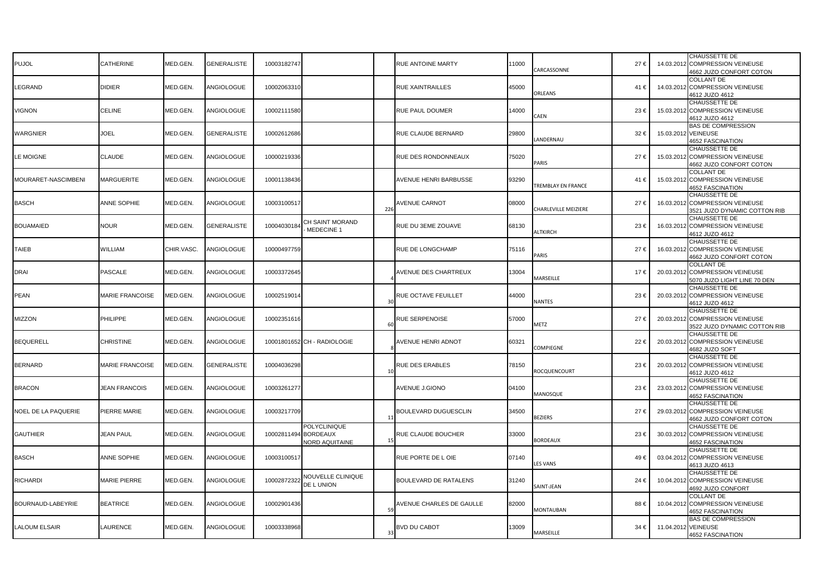| <b>PUJOL</b>         | CATHERINE              | MED.GEN.        | GENERALISTE        | 10003182747          |                                              |              | RUE ANTOINE MARTY               | 11000 | CARCASSONNE                 | 27€  | 14.03.201           | CHAUSSETTE DE<br><b>COMPRESSION VEINEUSE</b><br>4662 JUZO CONFORT COTON          |
|----------------------|------------------------|-----------------|--------------------|----------------------|----------------------------------------------|--------------|---------------------------------|-------|-----------------------------|------|---------------------|----------------------------------------------------------------------------------|
| LEGRAND              | <b>DIDIER</b>          | MED.GEN         | ANGIOLOGUE         | 10002063310          |                                              |              | RUE XAINTRAILLES                | 45000 | ORLEANS                     | 41 € | 14.03.201           | COLLANT DE<br><b>COMPRESSION VEINEUSE</b><br>4612 JUZO 4612                      |
| <b>VIGNON</b>        | CELINE                 | MED.GEN.        | ANGIOLOGUE         | 10002111580          |                                              |              | RUE PAUL DOUMER                 | 14000 | AEN                         | 23€  | 15.03.201           | CHAUSSETTE DE<br><b>COMPRESSION VEINEUSE</b><br>4612 JUZO 4612                   |
| WARGNIER             | JOEL                   | MED.GEN.        | <b>GENERALISTE</b> | 10002612686          |                                              |              | RUE CLAUDE BERNARD              | 29800 | ANDERNAU                    | 32€  | 15.03.2012 VEINEUSE | <b>BAS DE COMPRESSION</b><br><b>4652 FASCINATION</b>                             |
| LE MOIGNE            | CLAUDE                 | MED.GEN.        | ANGIOLOGUE         | 10000219336          |                                              |              | RUE DES RONDONNEAUX             | 75020 | <b>ARIS</b>                 | 27€  | 15.03.201           | CHAUSSETTE DE<br>2 COMPRESSION VEINEUSE<br>4662 JUZO CONFORT COTON               |
| MOURARET-NASCIMBENI  | <b>MARGUERITE</b>      | MED.GEN.        | ANGIOLOGUE         | 10001138436          |                                              |              | AVENUE HENRI BARBUSSE           | 93290 | <b>REMBLAY EN FRANCE</b>    | 41 € |                     | COLLANT DE<br>15.03.2012 COMPRESSION VEINEUSE<br>4652 FASCINATION                |
| <b>BASCH</b>         | ANNE SOPHIE            | MED.GEN.        | ANGIOLOGUE         | 10003100517          |                                              | 226          | <b>AVENUE CARNOT</b>            | 08000 | <b>CHARLEVILLE MEIZIERE</b> | 27€  |                     | CHAUSSETTE DE<br>16.03.2012 COMPRESSION VEINEUSE<br>3521 JUZO DYNAMIC COTTON RIB |
| <b>BOUAMAIED</b>     | <b>NOUR</b>            | MED.GEN.        | <b>GENERALISTE</b> | 1000403018           | CH SAINT MORAND<br>MEDECINE 1                |              | RUE DU 3EME ZOUAVE              | 68130 | <b>ILTKIRCH</b>             | 23€  | 16.03.201           | CHAUSSETTE DE<br><b>COMPRESSION VEINEUSE</b><br>4612 JUZO 4612                   |
| <b>TAIEB</b>         | WILLIAM                | CHIR.VASC.      | ANGIOLOGUE         | 10000497759          |                                              |              | RUE DE LONGCHAMP                | 75116 | PARIS                       | 27€  |                     | CHAUSSETTE DE<br>16.03.2012 COMPRESSION VEINEUSE<br>4662 JUZO CONFORT COTON      |
| <b>DRAI</b>          | PASCALE                | MED.GEN.        | ANGIOLOGUE         | 10003372645          |                                              |              | AVENUE DES CHARTREUX            | 13004 | <b>MARSEILLE</b>            | 17€  | 20.03.201           | <b>COLLANT DE</b><br><b>COMPRESSION VEINEUSE</b><br>5070 JUZO LIGHT LINE 70 DEN  |
| <b>PEAN</b>          | <b>MARIE FRANCOISE</b> | <b>MED.GEN</b>  | ANGIOLOGUE         | 10002519014          |                                              | -31          | RUE OCTAVE FEUILLET             | 44000 | <b>JANTES</b>               | 23€  | 20.03.201           | <b>CHAUSSETTE DE</b><br><b>COMPRESSION VEINEUSE</b><br>4612 JUZO 4612            |
| <b>MIZZON</b>        | <b>PHILIPPE</b>        | MED.GEN.        | ANGIOLOGUE         | 10002351616          |                                              |              | <b>RUE SERPENOISE</b>           | 57000 | <b>METZ</b>                 | 27€  | 20.03.201           | CHAUSSETTE DE<br><b>COMPRESSION VEINEUSE</b><br>3522 JUZO DYNAMIC COTTON RIB     |
| <b>BEQUERELL</b>     | <b>CHRISTINE</b>       | <b>MED.GEN.</b> | ANGIOLOGUE         |                      | 10001801652 CH - RADIOLOGIE                  |              | <b>AVENUE HENRI ADNOT</b>       | 60321 | COMPIEGNE                   | 22€  | 20.03.201           | CHAUSSETTE DE<br>COMPRESSION VEINEUSE<br>4682 JUZO SOFT                          |
| <b>BERNARD</b>       | <b>MARIE FRANCOISE</b> | MED.GEN.        | <b>GENERALISTE</b> | 10004036298          |                                              |              | RUE DES ERABLES                 | 78150 | <b>ROCQUENCOURT</b>         | 23€  |                     | CHAUSSETTE DE<br>20.03.2012 COMPRESSION VEINEUSE<br>4612 JUZO 4612               |
| <b>BRACON</b>        | <b>JEAN FRANCOIS</b>   | MED.GEN.        | ANGIOLOGUE         | 10003261277          |                                              |              | AVENUE J.GIONO                  | 04100 | <b>MANOSQUE</b>             | 23 € |                     | CHAUSSETTE DE<br>23.03.2012 COMPRESSION VEINEUSE<br>4652 FASCINATION             |
| NOEL DE LA PAQUERIE  | PIERRE MARIE           | MED.GEN.        | ANGIOLOGUE         | 10003217709          |                                              | $\mathbf{1}$ | BOULEVARD DUGUESCLIN            | 34500 | <b>BEZIERS</b>              | 27€  |                     | CHAUSSETTE DE<br>29.03.2012 COMPRESSION VEINEUSE<br>4662 JUZO CONFORT COTON      |
| <b>GAUTHIER</b>      | <b>JEAN PAUL</b>       | MED.GEN.        | ANGIOLOGUE         | 10002811494 BORDEAUX | <b>POLYCLINIQUE</b><br><b>NORD AQUITAINE</b> |              | RUE CLAUDE BOUCHER              | 33000 | <b>SORDEAUX</b>             | 23€  | 30.03.201           | CHAUSSETTE DE<br>2 COMPRESSION VEINEUSE<br><b>4652 FASCINATION</b>               |
| <b>BASCH</b>         | ANNE SOPHIE            | MED.GEN.        | ANGIOLOGUE         | 10003100517          |                                              |              | RUE PORTE DE LOIE               | 07140 | <b>ES VANS</b>              | 49€  |                     | CHAUSSETTE DE<br>03.04.2012 COMPRESSION VEINEUSE<br>4613 JUZO 4613               |
| <b>RICHARDI</b>      | MARIE PIERRE           | MED.GEN.        | ANGIOLOGUE         | 1000287232           | NOUVELLE CLINIQUE<br>DE L UNION              |              | BOULEVARD DE RATALENS           | 31240 | SAINT-JEAN                  | 24€  | 10.04.201           | CHAUSSETTE DE<br><b>COMPRESSION VEINEUSE</b><br>4692 JUZO CONFORT                |
| BOURNAUD-LABEYRIE    | <b>BEATRICE</b>        | MED.GEN         | ANGIOLOGUE         | 10002901436          |                                              | 51           | <b>AVENUE CHARLES DE GAULLE</b> | 82000 | <b>MONTAUBAN</b>            | 88€  |                     | <b>COLLANT DE</b><br>10.04.2012 COMPRESSION VEINEUSE<br><b>4652 FASCINATION</b>  |
| <b>LALOUM ELSAIR</b> | LAURENCE               | MED.GEN.        | ANGIOLOGUE         | 10003338968          |                                              | 33           | <b>BVD DU CABOT</b>             | 13009 | MARSEILLE                   | 34 € | 11.04.201           | <b>BAS DE COMPRESSION</b><br><b>VEINEUSE</b><br>4652 FASCINATION                 |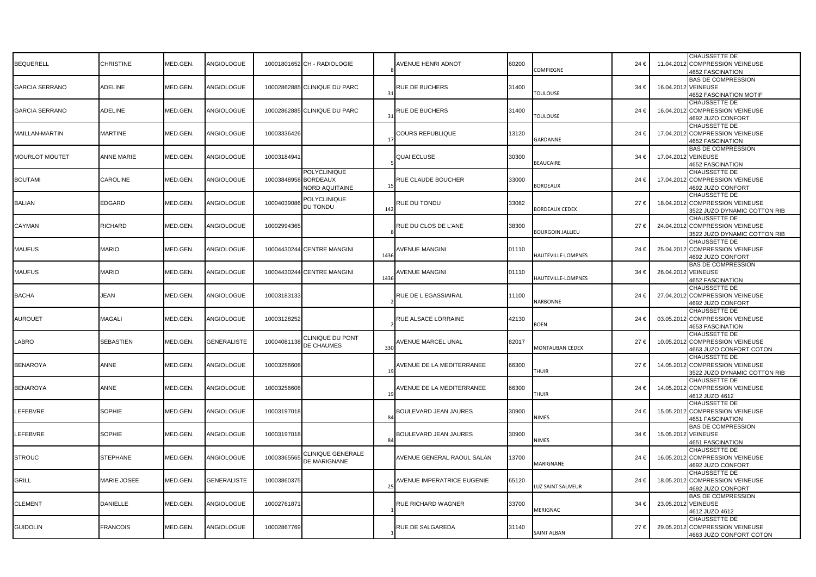|                       |                   |          |                    |                      |                                   |                       |                              |       |                        |      |                     | CHAUSSETTE DE                                                   |
|-----------------------|-------------------|----------|--------------------|----------------------|-----------------------------------|-----------------------|------------------------------|-------|------------------------|------|---------------------|-----------------------------------------------------------------|
| <b>BEQUERELL</b>      | <b>CHRISTINE</b>  | MED.GEN. | ANGIOLOGUE         |                      | 10001801652 CH - RADIOLOGIE       |                       | <b>AVENUE HENRI ADNOT</b>    | 60200 | COMPIEGNE              | 24 € |                     | 11.04.2012 COMPRESSION VEINEUSE<br><b>4652 FASCINATION</b>      |
|                       |                   |          |                    |                      |                                   |                       |                              |       |                        |      |                     | <b>BAS DE COMPRESSION</b>                                       |
| <b>GARCIA SERRANO</b> | ADELINE           | MED.GEN. | ANGIOLOGUE         |                      | 10002862885 CLINIQUE DU PARC      | $\mathbf{3}^{\prime}$ | <b>RUE DE BUCHERS</b>        | 31400 | <b>TOULOUSE</b>        | 34 € | 16.04.2012 VEINEUSE |                                                                 |
|                       |                   |          |                    |                      |                                   |                       |                              |       |                        |      |                     | <b>4652 FASCINATION MOTIF</b><br>CHAUSSETTE DE                  |
| <b>GARCIA SERRANO</b> | ADELINE           | MED.GEN. | ANGIOLOGUE         |                      | 10002862885 CLINIQUE DU PARC      |                       | RUE DE BUCHERS               | 31400 |                        | 24€  |                     | 16.04.2012 COMPRESSION VEINEUSE                                 |
|                       |                   |          |                    |                      |                                   | $\mathbf{3}^{\prime}$ |                              |       | <b>TOULOUSE</b>        |      |                     | 4692 JUZO CONFORT                                               |
|                       |                   |          |                    |                      |                                   |                       |                              |       |                        |      |                     | CHAUSSETTE DE                                                   |
| MAILLAN-MARTIN        | <b>MARTINE</b>    | MED.GEN. | ANGIOLOGUE         | 10003336426          |                                   |                       | <b>COURS REPUBLIQUE</b>      | 13120 | GARDANNE               | 24€  |                     | 17.04.2012 COMPRESSION VEINEUSE                                 |
|                       |                   |          |                    |                      |                                   |                       |                              |       |                        |      |                     | <b>4652 FASCINATION</b><br><b>BAS DE COMPRESSION</b>            |
| MOURLOT MOUTET        | <b>ANNE MARIE</b> | MED.GEN. | ANGIOLOGUE         | 10003184941          |                                   |                       | <b>QUAI ECLUSE</b>           | 30300 |                        | 34 € | 17.04.2012 VEINEUSE |                                                                 |
|                       |                   |          |                    |                      |                                   |                       |                              |       | <b>BEAUCAIRE</b>       |      |                     | 4652 FASCINATION                                                |
|                       |                   |          |                    |                      | <b>POLYCLINIQUE</b>               |                       |                              |       |                        |      |                     | CHAUSSETTE DE                                                   |
| <b>BOUTAMI</b>        | CAROLINE          | MED.GEN. | ANGIOLOGUE         | 10003848958 BORDEAUX |                                   |                       | RUE CLAUDE BOUCHER           | 33000 |                        | 24€  |                     | 17.04.2012 COMPRESSION VEINEUSE                                 |
|                       |                   |          |                    |                      | <b>NORD AQUITAINE</b>             | $\mathbf{1}$          |                              |       | <b>SORDEAUX</b>        |      |                     | 4692 JUZO CONFORT                                               |
|                       |                   |          |                    |                      | POLYCLINIQUE                      |                       |                              |       |                        |      |                     | CHAUSSETTE DE                                                   |
| <b>BALIAN</b>         | EDGARD            | MED.GEN. | ANGIOLOGUE         | 10004039086          | DU TONDU                          | 142                   | RUE DU TONDU                 | 33082 | <b>BORDEAUX CEDEX</b>  | 27€  |                     | 18.04.2012 COMPRESSION VEINEUSE<br>3522 JUZO DYNAMIC COTTON RIB |
|                       |                   |          |                    |                      |                                   |                       |                              |       |                        |      |                     | CHAUSSETTE DE                                                   |
| CAYMAN                | RICHARD           | MED.GEN. | ANGIOLOGUE         | 10002994365          |                                   |                       | RUE DU CLOS DE L'ANE         | 38300 |                        | 27€  |                     | 24.04.2012 COMPRESSION VEINEUSE                                 |
|                       |                   |          |                    |                      |                                   |                       |                              |       | BOURGOIN JALLIEU       |      |                     | 3522 JUZO DYNAMIC COTTON RIB                                    |
|                       |                   |          |                    |                      |                                   |                       |                              |       |                        |      |                     | CHAUSSETTE DE                                                   |
| <b>MAUFUS</b>         | <b>MARIO</b>      | MED.GEN. | ANGIOLOGUE         |                      | 10004430244 CENTRE MANGINI        | 1436                  | <b>NVENUE MANGINI</b>        | 01110 | HAUTEVILLE-LOMPNES     | 24€  |                     | 25.04.2012 COMPRESSION VEINEUSE                                 |
|                       |                   |          |                    |                      |                                   |                       |                              |       |                        |      |                     | 4692 JUZO CONFORT                                               |
| <b>MAUFUS</b>         | <b>MARIO</b>      | MED.GEN. | ANGIOLOGUE         |                      | 10004430244 CENTRE MANGINI        |                       | AVENUE MANGINI               | 01110 |                        | 34 € | 26.04.2012 VEINEUSE | <b>BAS DE COMPRESSION</b>                                       |
|                       |                   |          |                    |                      |                                   | 1436                  |                              |       | HAUTEVILLE-LOMPNES     |      |                     | <b>4652 FASCINATION</b>                                         |
|                       |                   |          |                    |                      |                                   |                       |                              |       |                        |      |                     | CHAUSSETTE DE                                                   |
| <b>BACHA</b>          | JEAN              | MED.GEN. | ANGIOLOGUE         | 10003183133          |                                   |                       | RUE DE L EGASSIAIRAL         | 11100 |                        | 24 € |                     | 27.04.2012 COMPRESSION VEINEUSE                                 |
|                       |                   |          |                    |                      |                                   |                       |                              |       | <b>NARBONNE</b>        |      |                     | 4692 JUZO CONFORT                                               |
|                       |                   |          |                    |                      |                                   |                       |                              |       |                        |      |                     | CHAUSSETTE DE                                                   |
| <b>AUROUET</b>        | MAGALI            | MED.GEN. | ANGIOLOGUE         | 10003128252          |                                   |                       | RUE ALSACE LORRAINE          | 42130 | <b>OEN</b>             | 24€  |                     | 03.05.2012 COMPRESSION VEINEUSE<br><b>4653 FASCINATION</b>      |
|                       |                   |          |                    |                      |                                   |                       |                              |       |                        |      |                     | CHAUSSETTE DE                                                   |
| LABRO                 | <b>SEBASTIEN</b>  | MED.GEN. | <b>GENERALISTE</b> | 10004081138          | CLINIQUE DU PONT                  |                       | AVENUE MARCEL UNAL           | 82017 |                        | 27€  |                     | 10.05.2012 COMPRESSION VEINEUSE                                 |
|                       |                   |          |                    |                      | DE CHAUMES                        | 330                   |                              |       | <b>MONTAUBAN CEDEX</b> |      |                     | 4663 JUZO CONFORT COTON                                         |
|                       |                   |          |                    |                      |                                   |                       |                              |       |                        |      |                     | CHAUSSETTE DE                                                   |
| <b>BENAROYA</b>       | ANNE              | MED.GEN. | ANGIOLOGUE         | 10003256608          |                                   |                       | AVENUE DE LA MEDITERRANEE    | 66300 | THUIR                  | 27€  |                     | 14.05.2012 COMPRESSION VEINEUSE                                 |
|                       |                   |          |                    |                      |                                   |                       |                              |       |                        |      |                     | 3522 JUZO DYNAMIC COTTON RIB<br>CHAUSSETTE DE                   |
| <b>BENAROYA</b>       | <b>ANNE</b>       | MED.GEN. | ANGIOLOGUE         | 10003256608          |                                   |                       | AVENUE DE LA MEDITERRANEE    | 66300 |                        | 24€  |                     | 14.05.2012 COMPRESSION VEINEUSE                                 |
|                       |                   |          |                    |                      |                                   | 1 <sup>1</sup>        |                              |       | <b>HUIR</b>            |      |                     | 4612 JUZO 4612                                                  |
|                       |                   |          |                    |                      |                                   |                       |                              |       |                        |      |                     | CHAUSSETTE DE                                                   |
| LEFEBVRE              | SOPHIE            | MED.GEN. | ANGIOLOGUE         | 10003197018          |                                   |                       | BOULEVARD JEAN JAURES        | 30900 |                        | 24€  |                     | 15.05.2012 COMPRESSION VEINEUSE                                 |
|                       |                   |          |                    |                      |                                   | 84                    |                              |       | <b>NIMES</b>           |      |                     | <b>4651 FASCINATION</b>                                         |
| LEFEBVRE              | SOPHIE            | MED.GEN. | ANGIOLOGUE         | 10003197018          |                                   |                       | <b>BOULEVARD JEAN JAURES</b> | 30900 |                        | 34 € | 15.05.2012 VEINEUSE | <b>BAS DE COMPRESSION</b>                                       |
|                       |                   |          |                    |                      |                                   | 84                    |                              |       | NIMES                  |      |                     | <b>4651 FASCINATION</b>                                         |
|                       |                   |          |                    |                      |                                   |                       |                              |       |                        |      |                     | CHAUSSETTE DE                                                   |
| <b>STROUC</b>         | <b>STEPHANE</b>   | MED.GEN. | ANGIOLOGUE         | 10003365565          | CLINIQUE GENERALE<br>DE MARIGNANE |                       | AVENUE GENERAL RAOUL SALAN   | 13700 |                        | 24€  |                     | 16.05.2012 COMPRESSION VEINEUSE                                 |
|                       |                   |          |                    |                      |                                   |                       |                              |       | <b>MARIGNANE</b>       |      |                     | 4692 JUZO CONFORT                                               |
|                       |                   |          |                    |                      |                                   |                       |                              |       |                        |      |                     | CHAUSSETTE DE                                                   |
| <b>GRILL</b>          | MARIE JOSEE       | MED.GEN. | GENERALISTE        | 10003860375          |                                   | $\mathcal{P}$         | AVENUE IMPERATRICE EUGENIE   | 65120 | LUZ SAINT SAUVEUR      | 24€  |                     | 18.05.2012 COMPRESSION VEINEUSE                                 |
|                       |                   |          |                    |                      |                                   |                       |                              |       |                        |      |                     | 4692 JUZO CONFORT<br><b>BAS DE COMPRESSION</b>                  |
| <b>CLEMENT</b>        | <b>DANIELLE</b>   | MED.GEN. | ANGIOLOGUE         | 10002761871          |                                   |                       | RUE RICHARD WAGNER           | 33700 |                        | 34 € | 23.05.2012 VEINEUSE |                                                                 |
|                       |                   |          |                    |                      |                                   |                       |                              |       | MERIGNAC               |      |                     | 4612 JUZO 4612                                                  |
|                       |                   |          |                    |                      |                                   |                       |                              |       |                        |      |                     | CHAUSSETTE DE                                                   |
| <b>GUIDOLIN</b>       | <b>FRANCOIS</b>   | MED.GEN. | ANGIOLOGUE         | 10002867769          |                                   |                       | RUE DE SALGAREDA             | 31140 |                        | 27€  |                     | 29.05.2012 COMPRESSION VEINEUSE                                 |
|                       |                   |          |                    |                      |                                   |                       |                              |       | <b>SAINT ALBAN</b>     |      |                     | 4663 JUZO CONFORT COTON                                         |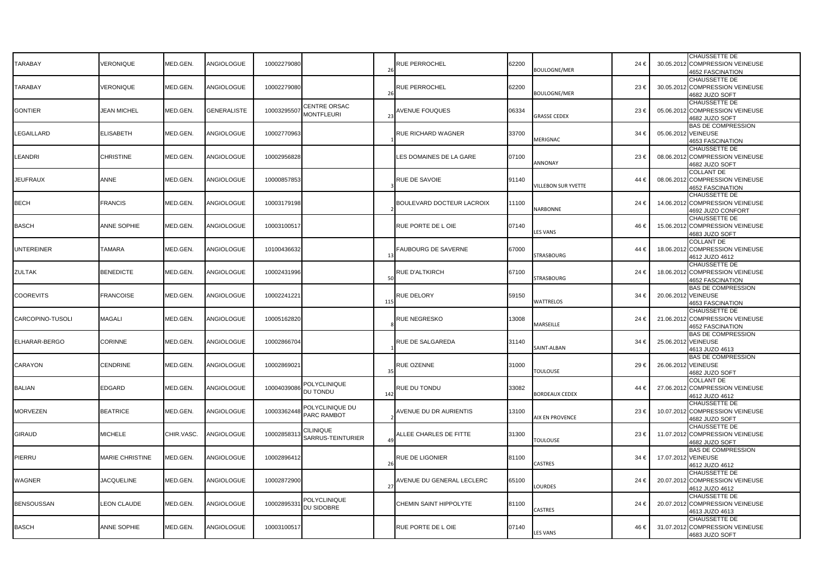| TARABAY           | <b>/ERONIQUE</b>   | MED.GEN.        | ANGIOLOGUE  | 10002279080 |                                       | $\overline{2}$  | RUE PERROCHEL              | 62200 | <b>BOULOGNE/MER</b>       | 24€      |                     | CHAUSSETTE DE<br>30.05.2012 COMPRESSION VEINEUSE<br><b>4652 FASCINATION</b>     |
|-------------------|--------------------|-----------------|-------------|-------------|---------------------------------------|-----------------|----------------------------|-------|---------------------------|----------|---------------------|---------------------------------------------------------------------------------|
| TARABAY           | VERONIQUE          | MED.GEN.        | ANGIOLOGUE  | 10002279080 |                                       | $\overline{2}$  | <b>RUE PERROCHEL</b>       | 62200 | <b>BOULOGNE/MER</b>       | 23€      |                     | CHAUSSETTE DE<br>30.05.2012 COMPRESSION VEINEUSE<br>4682 JUZO SOFT              |
| <b>GONTIER</b>    | <b>JEAN MICHEL</b> | MED.GEN.        | GENERALISTE | 1000329550  | CENTRE ORSAC<br><b>MONTFLEURI</b>     |                 | <b>AVENUE FOUQUES</b>      | 06334 | GRASSE CEDEX              | 23€      |                     | CHAUSSETTE DE<br>05.06.2012 COMPRESSION VEINEUSE<br>4682 JUZO SOFT              |
| LEGAILLARD        | <b>ELISABETH</b>   | MED.GEN.        | ANGIOLOGUE  | 10002770963 |                                       |                 | RUE RICHARD WAGNER         | 33700 | <b>MERIGNAC</b>           | 34 €     | 05.06.2012 VEINEUSE | <b>BAS DE COMPRESSION</b><br><b>4653 FASCINATION</b>                            |
| LEANDRI           | <b>CHRISTINE</b>   | MED.GEN.        | ANGIOLOGUE  | 10002956828 |                                       |                 | LES DOMAINES DE LA GARE    | 07100 | ANNONAY                   | 23€      |                     | CHAUSSETTE DE<br>08.06.2012 COMPRESSION VEINEUSE<br>4682 JUZO SOFT              |
| <b>JEUFRAUX</b>   | <b>ANNE</b>        | MED.GEN.        | ANGIOLOGUE  | 10000857853 |                                       |                 | RUE DE SAVOIE              | 91140 | <b>ILLEBON SUR YVETTE</b> | 44 €     |                     | <b>COLLANT DE</b><br>08.06.2012 COMPRESSION VEINEUSE<br><b>4652 FASCINATION</b> |
| <b>BECH</b>       | <b>FRANCIS</b>     | MED.GEN.        | ANGIOLOGUE  | 10003179198 |                                       |                 | BOULEVARD DOCTEUR LACROIX  | 11100 | VARBONNE                  | 24€      |                     | <b>CHAUSSETTE DE</b><br>14.06.2012 COMPRESSION VEINEUSE<br>4692 JUZO CONFORT    |
| <b>BASCH</b>      | ANNE SOPHIE        | MED.GEN.        | ANGIOLOGUE  | 10003100517 |                                       |                 | RUE PORTE DE LOIE          | 07140 | <b>ES VANS</b>            | 46€      |                     | CHAUSSETTE DE<br>15.06.2012 COMPRESSION VEINEUSE<br>4683 JUZO SOFT              |
| UNTEREINER        | <b>TAMARA</b>      | <b>MED.GEN.</b> | ANGIOLOGUE  | 10100436632 |                                       | $\mathbf{1}$    | <b>FAUBOURG DE SAVERNE</b> | 67000 | <b>STRASBOURG</b>         | 44 €     |                     | <b>COLLANT DE</b><br>18.06.2012 COMPRESSION VEINEUSE<br>4612 JUZO 4612          |
| <b>ZULTAK</b>     | <b>BENEDICTE</b>   | MED.GEN.        | ANGIOLOGUE  | 10002431996 |                                       | 51              | <b>RUE D'ALTKIRCH</b>      | 67100 | <b>STRASBOURG</b>         | 24€      |                     | CHAUSSETTE DE<br>18.06.2012 COMPRESSION VEINEUSE<br><b>4652 FASCINATION</b>     |
| <b>COOREVITS</b>  | <b>FRANCOISE</b>   | MED.GEN.        | ANGIOLOGUE  | 10002241221 |                                       | 11:             | <b>RUE DELORY</b>          | 59150 | WATTRELOS                 | 34 €     | 20.06.2012 VEINEUSE | <b>BAS DE COMPRESSION</b><br><b>4653 FASCINATION</b>                            |
| CARCOPINO-TUSOLI  | <b>MAGALI</b>      | MED.GEN.        | ANGIOLOGUE  | 10005162820 |                                       |                 | <b>RUE NEGRESKO</b>        | 13008 | MARSEILLE                 | 24€      |                     | CHAUSSETTE DE<br>21.06.2012 COMPRESSION VEINEUSE<br><b>4652 FASCINATION</b>     |
| ELHARAR-BERGO     | CORINNE            | MED.GEN.        | ANGIOLOGUE  | 10002866704 |                                       |                 | RUE DE SALGAREDA           | 31140 | <b>SAINT-ALBAN</b>        | $34 \in$ | 25.06.2012 VEINEUSE | <b>BAS DE COMPRESSION</b><br>4613 JUZO 4613                                     |
| CARAYON           | CENDRINE           | MED.GEN.        | ANGIOLOGUE  | 10002869021 |                                       | 3!              | RUE OZENNE                 | 31000 | TOULOUSE                  | 29€      | 26.06.2012 VEINEUSE | <b>BAS DE COMPRESSION</b><br>4682 JUZO SOFT                                     |
| BALIAN            | <b>EDGARD</b>      | MED.GEN.        | ANGIOLOGUE  | 1000403908  | POLYCLINIQUE<br>DU TONDU              | 14              | <b>RUE DU TONDU</b>        | 33082 | <b>BORDEAUX CEDEX</b>     | 44 €     |                     | <b>COLLANT DE</b><br>27.06.2012 COMPRESSION VEINEUSE<br>4612 JUZO 4612          |
| <b>MORVEZEN</b>   | <b>BEATRICE</b>    | MED.GEN.        | ANGIOLOGUE  | 10003362448 | POLYCLINIQUE DU<br>PARC RAMBOT        |                 | AVENUE DU DR AURIENTIS     | 13100 | <b>NIX EN PROVENCE</b>    | 23€      |                     | CHAUSSETTE DE<br>10.07.2012 COMPRESSION VEINEUSE<br>4682 JUZO SOFT              |
| <b>GIRAUD</b>     | <b>MICHELE</b>     | CHIR.VASC.      | ANGIOLOGUE  | 1000285831  | <b>CILINIQUE</b><br>SARRUS-TEINTURIER |                 | ALLEE CHARLES DE FITTE     | 31300 | <b><i>FOULOUSE</i></b>    | 23€      |                     | <b>CHAUSSETTE DE</b><br>11.07.2012 COMPRESSION VEINEUSE<br>4682 JUZO SOFT       |
| PIERRU            | MARIE CHRISTINE    | <b>MED.GEN.</b> | ANGIOLOGUE  | 10002896412 |                                       | $\overline{26}$ | <b>RUE DE LIGONIER</b>     | 81100 | CASTRES                   | 34 €     | 17.07.2012 VEINEUSE | <b>BAS DE COMPRESSION</b><br>4612 JUZO 4612                                     |
| WAGNER            | <b>JACQUELINE</b>  | MED.GEN.        | ANGIOLOGUE  | 10002872900 |                                       | $\mathcal{D}$   | AVENUE DU GENERAL LECLERC  | 65100 | OURDES                    | 24€      |                     | CHAUSSETTE DE<br>20.07.2012 COMPRESSION VEINEUSE<br>4612 JUZO 4612              |
| <b>BENSOUSSAN</b> | <b>LEON CLAUDE</b> | MED.GEN.        | ANGIOLOGUE  | 1000289533  | POLYCLINIQUE<br>DU SIDOBRE            |                 | CHEMIN SAINT HIPPOLYTE     | 81100 | CASTRES                   | 24€      |                     | <b>CHAUSSETTE DE</b><br>20.07.2012 COMPRESSION VEINEUSE<br>4613 JUZO 4613       |
| <b>BASCH</b>      | <b>ANNE SOPHIE</b> | MED.GEN.        | ANGIOLOGUE  | 10003100517 |                                       |                 | RUE PORTE DE LOIE          | 07140 | <b>LES VANS</b>           | 46€      |                     | <b>CHAUSSETTE DE</b><br>31.07.2012 COMPRESSION VEINEUSE<br>4683 JUZO SOFT       |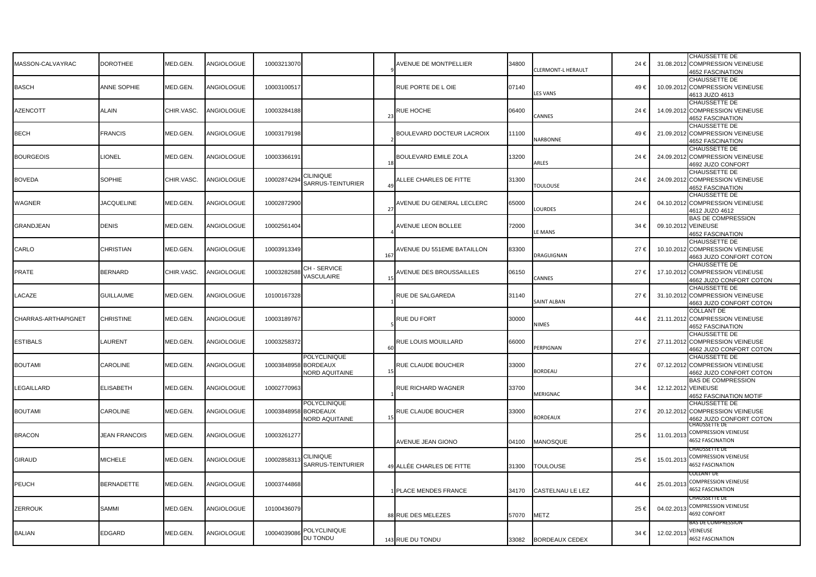| MASSON-CALVAYRAC    | <b>DOROTHEE</b>      | MED.GEN.   | ANGIOLOGUE | 10003213070 |                                                          |                       | AVENUE DE MONTPELLIER         | 34800 | CLERMONT-L HERAULT      | 24€      |           | CHAUSSETTE DE<br>31.08.2012 COMPRESSION VEINEUSE<br><b>4652 FASCINATION</b>    |
|---------------------|----------------------|------------|------------|-------------|----------------------------------------------------------|-----------------------|-------------------------------|-------|-------------------------|----------|-----------|--------------------------------------------------------------------------------|
| <b>BASCH</b>        | ANNE SOPHIE          | MED.GEN.   | ANGIOLOGUE | 10003100517 |                                                          |                       | RUE PORTE DE L OIE            | 07140 | <b>ES VANS</b>          | 49€      | 10.09.201 | <b>CHAUSSETTE DE</b><br><b>COMPRESSION VEINEUSE</b><br>4613 JUZO 4613          |
| <b>AZENCOTT</b>     | <b>ALAIN</b>         | CHIR.VASC. | ANGIOLOGUE | 10003284188 |                                                          | $\mathcal{D}$         | RUE HOCHE                     | 06400 | <b>CANNES</b>           | 24€      | 14.09.201 | CHAUSSETTE DE<br><b>COMPRESSION VEINEUSE</b><br><b>4652 FASCINATION</b>        |
| <b>BECH</b>         | <b>FRANCIS</b>       | MED.GEN.   | ANGIOLOGUE | 10003179198 |                                                          |                       | BOULEVARD DOCTEUR LACROIX     | 11100 | <b>JARBONNE</b>         | 49€      | 21.09.201 | <b>CHAUSSETTE DE</b><br><b>COMPRESSION VEINEUSE</b><br><b>4652 FASCINATION</b> |
| <b>BOURGEOIS</b>    | LIONEL               | MED.GEN.   | ANGIOLOGUE | 10003366191 |                                                          |                       | <b>BOULEVARD EMILE ZOLA</b>   | 13200 | RLES                    | 24€      | 24.09.201 | CHAUSSETTE DE<br>COMPRESSION VEINEUSE<br>4692 JUZO CONFORT                     |
| <b>BOVEDA</b>       | SOPHIE               | CHIR.VASC. | ANGIOLOGUE | 10002874294 | <b>CILINIQUE</b><br>SARRUS-TEINTURIER                    | $\mathbf{A}^{\prime}$ | <b>ILLEE CHARLES DE FITTE</b> | 31300 | <b>TOULOUSE</b>         | 24 €     | 24.09.201 | <b>CHAUSSETTE DE</b><br><b>COMPRESSION VEINEUSE</b><br><b>4652 FASCINATION</b> |
| WAGNER              | <b>JACQUELINE</b>    | MED.GEN.   | ANGIOLOGUE | 10002872900 |                                                          | $\mathcal{D}$         | AVENUE DU GENERAL LECLERC     | 65000 | OURDES                  | 24 €     | 04.10.201 | CHAUSSETTE DE<br><b>COMPRESSION VEINEUSE</b><br>4612 JUZO 4612                 |
| GRANDJEAN           | DENIS                | MED.GEN    | ANGIOLOGUE | 10002561404 |                                                          |                       | <b>AVENUE LEON BOLLEE</b>     | 72000 | E MANS                  | $34 \in$ | 09.10.201 | <b>BAS DE COMPRESSION</b><br><b>VEINEUSE</b><br><b>4652 FASCINATION</b>        |
| CARLO               | CHRISTIAN            | MED.GEN.   | ANGIOLOGUE | 10003913349 |                                                          | 167                   | AVENUE DU 551EME BATAILLON    | 83300 | DRAGUIGNAN              | 27€      | 10.10.201 | CHAUSSETTE DE<br><b>COMPRESSION VEINEUSE</b><br>4663 JUZO CONFORT COTON        |
| PRATE               | <b>BERNARD</b>       | CHIR.VASC  | ANGIOLOGUE | 1000328258  | CH - SERVICE<br>VASCULAIRE                               |                       | AVENUE DES BROUSSAILLES       | 06150 | <b>CANNES</b>           | 27€      | 17.10.201 | CHAUSSETTE DE<br><b>COMPRESSION VEINEUSE</b><br>4662 JUZO CONFORT COTON        |
| LACAZE              | GUILLAUME            | MED.GEN.   | ANGIOLOGUE | 10100167328 |                                                          |                       | RUE DE SALGAREDA              | 31140 | <b>SAINT ALBAN</b>      | 27 €     | 31.10.201 | CHAUSSETTE DE<br><b>COMPRESSION VEINEUSE</b><br>4663 JUZO CONFORT COTON        |
| CHARRAS-ARTHAPIGNET | <b>CHRISTINE</b>     | MED.GEN    | ANGIOLOGUE | 10003189767 |                                                          |                       | RUE DU FORT                   | 30000 | <b>NIMES</b>            | 44 €     | 21.11.201 | <b>COLLANT DE</b><br><b>COMPRESSION VEINEUSE</b><br><b>4652 FASCINATION</b>    |
| <b>ESTIBALS</b>     | LAURENT              | MED.GEN.   | ANGIOLOGUE | 10003258372 |                                                          | 61                    | RUE LOUIS MOUILLARD           | 66000 | PERPIGNAN               | 27 €     | 27.11.201 | <b>CHAUSSETTE DE</b><br><b>COMPRESSION VEINEUSE</b><br>4662 JUZO CONFORT COTON |
| <b>BOUTAMI</b>      | <b>CAROLINE</b>      | MED.GEN.   | ANGIOLOGUE | 10003848958 | <b>POLYCLINIQUE</b><br><b>BORDEAUX</b><br>NORD AQUITAINE |                       | RUE CLAUDE BOUCHER            | 33000 | <b>SORDEAU</b>          | 27€      | 07.12.201 | CHAUSSETTE DE<br><b>COMPRESSION VEINEUSE</b><br>4662 JUZO CONFORT COTON        |
| LEGAILLARD          | <b>ELISABETH</b>     | MED.GEN.   | ANGIOLOGUE | 10002770963 |                                                          |                       | RUE RICHARD WAGNER            | 33700 | <b>MERIGNAC</b>         | 34 €     | 12.12.201 | <b>BAS DE COMPRESSION</b><br><b>VEINEUSE</b><br><b>4652 FASCINATION MOTIF</b>  |
| <b>BOUTAMI</b>      | <b>CAROLINE</b>      | MED.GEN.   | ANGIOLOGUE | 10003848958 | <b>POLYCLINIQUE</b><br><b>BORDEAUX</b><br>NORD AQUITAINE |                       | RUE CLAUDE BOUCHER            | 33000 | <b>SORDEAUX</b>         | 27€      | 20.12.201 | <b>CHAUSSETTE DE</b><br><b>COMPRESSION VEINEUSE</b><br>4662 JUZO CONFORT COTON |
| <b>BRACON</b>       | <b>JEAN FRANCOIS</b> | MED.GEN.   | ANGIOLOGUE | 10003261277 |                                                          |                       | AVENUE JEAN GIONO             | 04100 | MANOSQUE                | 25€      | 11.01.201 | CHAUSSETTE DE<br>COMPRESSION VEINEUSE<br><b>1652 FASCINATION</b>               |
| <b>GIRAUD</b>       | <b>MICHELE</b>       | MED.GEN.   | ANGIOLOGUE | 1000285831  | <b>CILINIQUE</b><br>SARRUS-TEINTURIER                    |                       | 49 ALLÉE CHARLES DE FITTE     | 31300 | <b>TOULOUSE</b>         | 25€      | 15.01.201 | .HAUSSETTE DE<br>COMPRESSION VEINEUSE<br>4652 FASCINATION                      |
| PEUCH               | <b>BERNADETTE</b>    | MED.GEN.   | ANGIOLOGUE | 10003744868 |                                                          |                       | PLACE MENDES FRANCE           | 34170 | <b>CASTELNAU LE LEZ</b> | 44 €     | 25.01.201 | JOLLANT DE<br>COMPRESSION VEINEUSE<br>4652 FASCINATION                         |
| ZERROUK             | SAMMI                | MED.GEN.   | ANGIOLOGUE | 10100436079 |                                                          |                       | 88 RUE DES MELEZES            | 57070 | <b>METZ</b>             | 25€      | 04.02.201 | CHAUSSETTE DE<br>COMPRESSION VEINEUSE<br>4692 CONFORT                          |
| <b>BALIAN</b>       | <b>EDGARD</b>        | MED.GEN.   | ANGIOLOGUE | 1000403908  | POLYCLINIQUE<br>DU TONDU                                 |                       | 143 RUE DU TONDU              | 33082 | <b>BORDEAUX CEDEX</b>   | 34 €     | 12.02.201 | SAS DE COI<br>RESSIOI<br>VEINEUSE<br>4652 FASCINATION                          |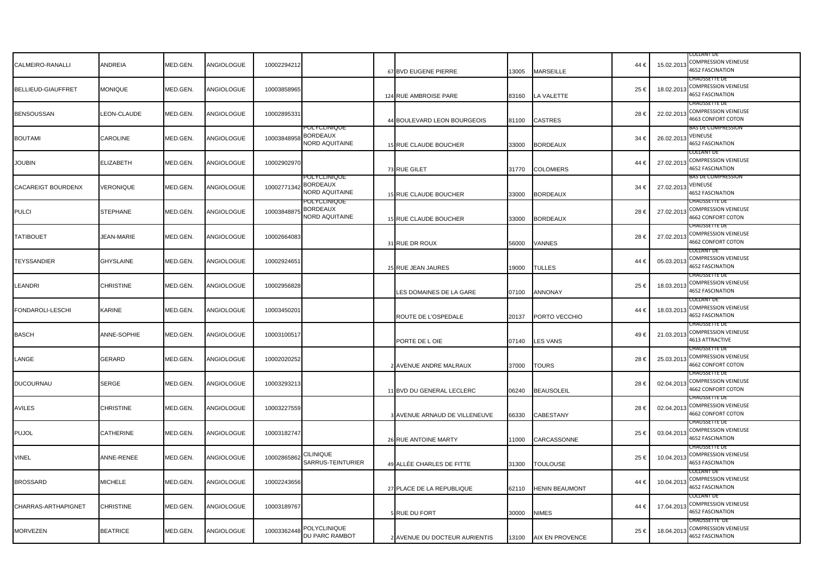| CALMEIRO-RANALLI          | ANDREIA            | MED.GEN. | ANGIOLOGUE | 10002294212 |                                                   | 67 BVD EUGENE PIERRE          | 13005 | <b>MARSEILLE</b>      | 44€  |            | COLLANT DE<br>15.02.2013 COMPRESSION VEINEUSE<br>4652 FASCINATION      |
|---------------------------|--------------------|----------|------------|-------------|---------------------------------------------------|-------------------------------|-------|-----------------------|------|------------|------------------------------------------------------------------------|
| <b>BELLIEUD-GIAUFFRET</b> | <b>MONIQUE</b>     | MED.GEN. | ANGIOLOGUE | 10003858965 |                                                   | 124 RUE AMBROISE PARE         | 83160 | LA VALETTE            | 25€  |            | CHAUSSETTE DE<br>18.02.2013 COMPRESSION VEINEUSE<br>4652 FASCINATION   |
| <b>BENSOUSSAN</b>         | <b>LEON-CLAUDE</b> | MED.GEN. | ANGIOLOGUE | 10002895331 |                                                   | 44 BOULEVARD LEON BOURGEOIS   | 81100 | <b>CASTRES</b>        | 28€  | 22.02.2013 | CHAUSSETTE DE<br><b>COMPRESSION VEINEUSE</b><br>4663 CONFORT COTON     |
| <b>BOUTAMI</b>            | CAROLINE           | MED.GEN. | ANGIOLOGUE | 10003848958 | OLYCLINIQUE<br><b>BORDEAUX</b><br>NORD AQUITAINE  | 15 RUE CLAUDE BOUCHER         | 33000 | <b>BORDEAUX</b>       | 34 € | 26.02.201  | <b>BAS DE COMPRESSION</b><br>VEINEUSE<br><b>1652 FASCINATION</b>       |
| <b>JOUBIN</b>             | <b>ELIZABETH</b>   | MED.GEN. | ANGIOLOGUE | 10002902970 |                                                   | 73 RUE GILET                  | 31770 | <b>COLOMIERS</b>      | 44 € |            | COLLANT DE<br>27.02.2013 COMPRESSION VEINEUSE<br>4652 FASCINATION      |
| <b>CACAREIGT BOURDENX</b> | VERONIQUE          | MED.GEN. | ANGIOLOGUE | 10002771342 | POLYCLINIQUE<br><b>BORDEAUX</b><br>NORD AQUITAINE | 15 RUE CLAUDE BOUCHER         | 33000 | <b>BORDEAUX</b>       | 34 € | 27.02.2013 | BAS DE COMPRESSION<br>VEINEUSE<br>4652 FASCINATION                     |
| <b>PULCI</b>              | <b>STEPHANE</b>    | MED.GEN. | ANGIOLOGUE | 10003848875 | PULYULINIQUE<br><b>BORDEAUX</b><br>NORD AQUITAINE | 15 RUE CLAUDE BOUCHER         | 33000 | <b>BORDEAUX</b>       | 28€  |            | CHAUSSETTE DE<br>27.02.2013 COMPRESSION VEINEUSE<br>4662 CONFORT COTON |
| <b>TATIBOUET</b>          | JEAN-MARIE         | MED.GEN. | ANGIOLOGUE | 10002664083 |                                                   | 31 RUE DR ROUX                | 56000 | VANNES                | 28€  |            | CHAUSSETTE DE<br>27.02.2013 COMPRESSION VEINEUSE<br>4662 CONFORT COTON |
| <b>TEYSSANDIER</b>        | <b>GHYSLAINE</b>   | MED.GEN. | ANGIOLOGUE | 10002924651 |                                                   | 25 RUE JEAN JAURES            | 19000 | <b>TULLES</b>         | 44 € |            | Collant De<br>05.03.2013 COMPRESSION VEINEUSE<br>4652 FASCINATION      |
| LEANDRI                   | <b>CHRISTINE</b>   | MED.GEN. | ANGIOLOGUE | 10002956828 |                                                   | LES DOMAINES DE LA GARE       | 07100 | <b>ANNONAY</b>        | 25€  | 18.03.2013 | LHAUSSETTE DE<br><b>COMPRESSION VEINEUSE</b><br>4652 FASCINATION       |
| FONDAROLI-LESCHI          | KARINE             | MED.GEN. | ANGIOLOGUE | 10003450201 |                                                   | ROUTE DE L'OSPEDALE           | 20137 | PORTO VECCHIO         | 44 € | 18.03.2013 | COLLANT DE<br><b>COMPRESSION VEINEUSE</b><br>4652 FASCINATION          |
| <b>BASCH</b>              | ANNE-SOPHIE        | MED.GEN. | ANGIOLOGUE | 10003100517 |                                                   | PORTE DE L OIE                | 07140 | <b>LES VANS</b>       | 49€  | 21.03.2013 | CHAUSSETTE DE<br><b>COMPRESSION VEINEUSE</b><br>4613 ATTRACTIVE        |
| LANGE                     | <b>GERARD</b>      | MED.GEN. | ANGIOLOGUE | 10002020252 |                                                   | 2 AVENUE ANDRE MALRAUX        | 37000 | <b>TOURS</b>          | 28€  |            | CHAUSSETTE DE<br>25.03.2013 COMPRESSION VEINEUSE<br>4662 CONFORT COTON |
| <b>DUCOURNAU</b>          | SERGE              | MED.GEN. | ANGIOLOGUE | 10003293213 |                                                   | 11 BVD DU GENERAL LECLERC     | 06240 | <b>BEAUSOLEIL</b>     | 28€  | 02.04.2013 | CHAUSSETTE DE<br><b>COMPRESSION VEINEUSE</b><br>4662 CONFORT COTON     |
| <b>AVILES</b>             | <b>CHRISTINE</b>   | MED.GEN. | ANGIOLOGUE | 10003227559 |                                                   | 3 AVENUE ARNAUD DE VILLENEUVE | 66330 | <b>CABESTANY</b>      | 28€  |            | CHAUSSETTE DE<br>02.04.2013 COMPRESSION VEINEUSE<br>4662 CONFORT COTON |
| <b>PUJOL</b>              | CATHERINE          | MED.GEN. | ANGIOLOGUE | 10003182747 |                                                   | 26 RUE ANTOINE MARTY          | 11000 | CARCASSONNE           | 25€  |            | CHAUSSETTE DE<br>03.04.2013 COMPRESSION VEINEUSE<br>4652 FASCINATION   |
| <b>VINEL</b>              | ANNE-RENEE         | MED.GEN. | ANGIOLOGUE | 10002865862 | <b>CILINIQUE</b><br>SARRUS-TEINTURIER             | 49 ALLÉE CHARLES DE FITTE     | 31300 | <b>TOULOUSE</b>       | 25€  | 10.04.2013 | CHAUSSETTE DE<br><b>COMPRESSION VEINEUSE</b><br>4653 FASCINATION       |
| <b>BROSSARD</b>           | <b>MICHELE</b>     | MED.GEN. | ANGIOLOGUE | 10002243656 |                                                   | 27 PLACE DE LA REPUBLIQUE     | 62110 | <b>HENIN BEAUMONT</b> | 44 € | 10.04.2013 | Collant de<br><b>COMPRESSION VEINEUSE</b><br>4652 FASCINATION          |
| CHARRAS-ARTHAPIGNET       | <b>CHRISTINE</b>   | MED.GEN. | ANGIOLOGUE | 10003189767 |                                                   | 5 RUE DU FORT                 | 30000 | NIMES                 | 44 € | 17.04.2013 | COLLANT DE<br><b>COMPRESSION VEINEUSE</b><br>4652 FASCINATION          |
| <b>MORVEZEN</b>           | <b>BEATRICE</b>    | MED.GEN. | ANGIOLOGUE | 10003362448 | POLYCLINIQUE<br>DU PARC RAMBOT                    | 2 AVENUE DU DOCTEUR AURIENTIS |       | 13100 AIX EN PROVENCE | 25€  |            | CHAUSSETTE DE<br>18.04.2013 COMPRESSION VEINEUSE<br>4652 FASCINATION   |